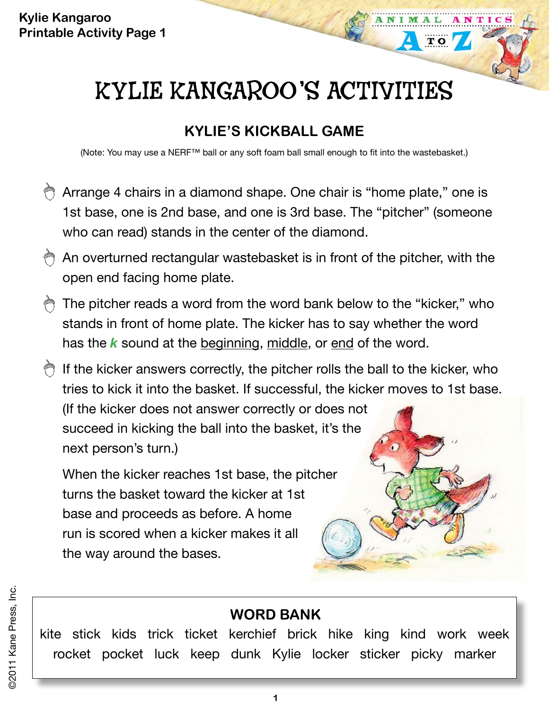# KYLIE KANGAROO'S ACTIVITIES

 $\overline{\mathbf{T}}$  O

# **KYLIE'S KICKBALL GAME**

(Note: You may use a NERF™ ball or any soft foam ball small enough to fit into the wastebasket.)

- Arrange 4 chairs in a diamond shape. One chair is "home plate," one is 1st base, one is 2nd base, and one is 3rd base. The "pitcher" (someone who can read) stands in the center of the diamond.
- @ An overturned rectangular wastebasket is in front of the pitcher, with the open end facing home plate.
- The pitcher reads a word from the word bank below to the "kicker," who stands in front of home plate. The kicker has to say whether the word has the *k* sound at the beginning, middle, or end of the word.
- If the kicker answers correctly, the pitcher rolls the ball to the kicker, who tries to kick it into the basket. If successful, the kicker moves to 1st base. (If the kicker does not answer correctly or does not succeed in kicking the ball into the basket, it's the next person's turn.)

When the kicker reaches 1st base, the pitcher turns the basket toward the kicker at 1st base and proceeds as before. A home run is scored when a kicker makes it all the way around the bases.

### **WORD Bank**

kite stick kids trick ticket kerchief brick hike king kind work week rocket pocket luck keep dunk Kylie locker sticker picky marker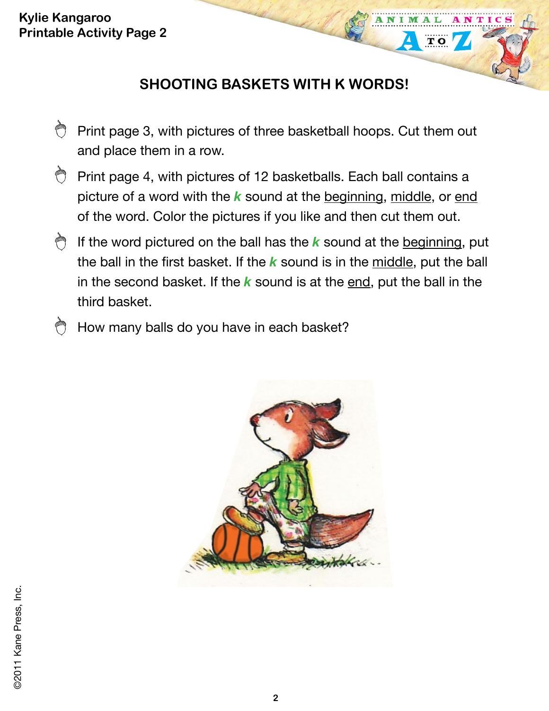**Kylie Kangaroo Printable Activity Page 2**

## **SHOOTING BASKETS WITH K WORDS!**

 $\overline{\mathbf{T}}$  O

- À Print page 3, with pictures of three basketball hoops. Cut them out and place them in a row.
- Print page 4, with pictures of 12 basketballs. Each ball contains a picture of a word with the *k* sound at the beginning, middle, or end of the word. Color the pictures if you like and then cut them out.
- If the word pictured on the ball has the *k* sound at the beginning, put the ball in the first basket. If the *k* sound is in the middle, put the ball in the second basket. If the *k* sound is at the end, put the ball in the third basket.
- How many balls do you have in each basket?

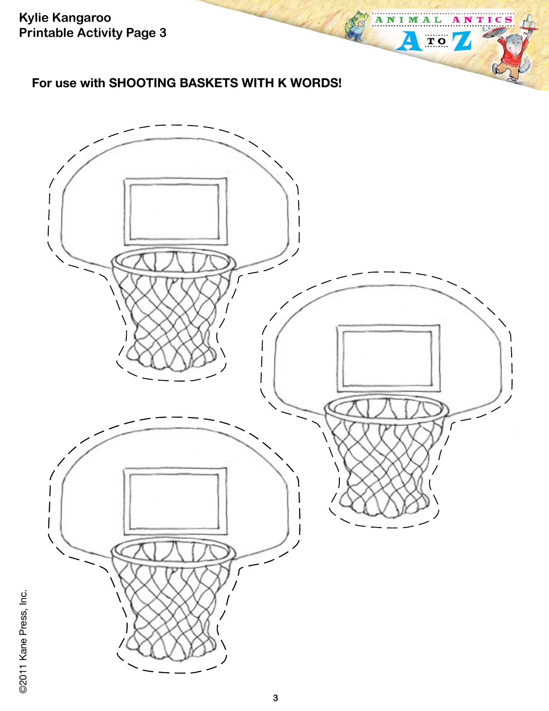**Kylie Kangaroo Printable Activity Page 3**

#### **For use with SHOOTING BASKETS WITH K WORDS!**



ANTICS

A

N п M A L

 $\Delta$ 

 $TO/$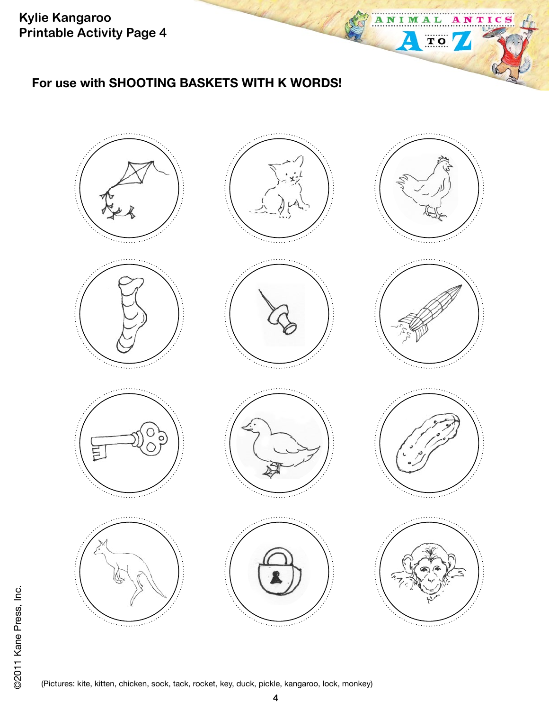**Kylie Kangaroo Printable Activity Page 4**

#### **For use with SHOOTING BASKETS WITH K WORDS!**



N I M A L

Δ

 $\begin{tabular}{|c|c|} \hline \quad \quad & \quad \quad & \quad \quad \\ \hline \quad \quad & \quad \quad & \quad \quad \\ \hline \quad \quad & \quad \quad & \quad \quad \\ \hline \end{tabular}$ 

A

NTIC

(Pictures: kite, kitten, chicken, sock, tack, rocket, key, duck, pickle, kangaroo, lock, monkey)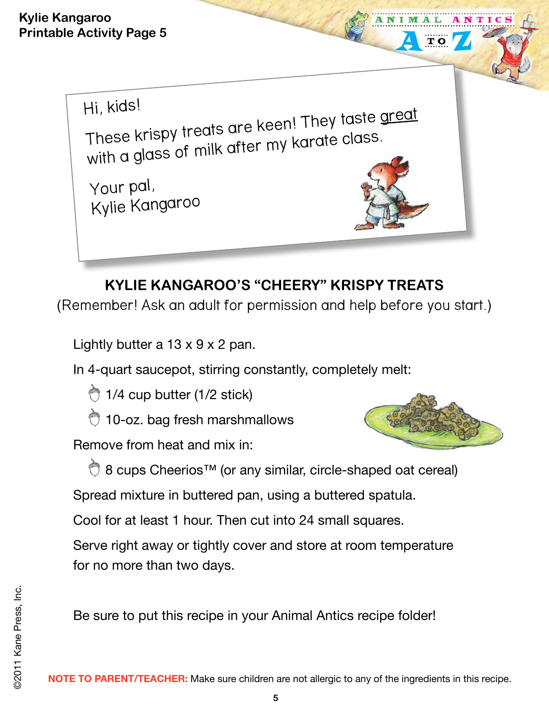Hi, kids! These krispy treats are keen! They taste great with a glass of milk after my karate class. Your pal, Kylie Kangaroo

# **KYLIE KANGAROO'S "CHEERY" KRISPY TREATS**

(Remember! Ask an adult for permission and help before you start.)

Lightly butter a  $13 \times 9 \times 2$  pan.

In 4-quart saucepot, stirring constantly, completely melt:

 $\bigcirc$  1/4 cup butter (1/2 stick)

10-oz. bag fresh marshmallows

Remove from heat and mix in:



 $\overline{\mathbf{T}}$  O

8 cups Cheerios™ (or any similar, circle-shaped oat cereal)

Spread mixture in buttered pan, using a buttered spatula.

Cool for at least 1 hour. Then cut into 24 small squares.

Serve right away or tightly cover and store at room temperature for no more than two days.

Be sure to put this recipe in your Animal Antics recipe folder!